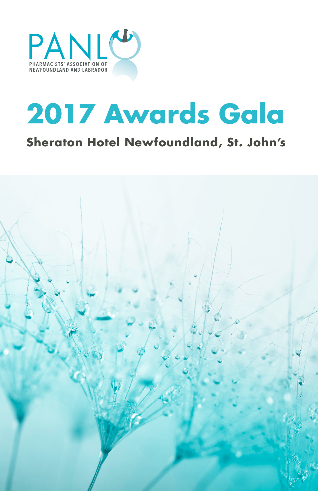

# **2017 Awards Gala**

### **Sheraton Hotel Newfoundland, St. John's**

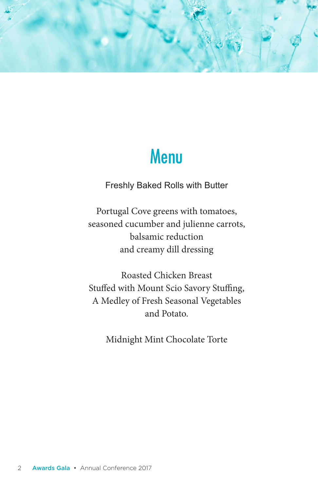

### Menu

Freshly Baked Rolls with Butter

Portugal Cove greens with tomatoes, seasoned cucumber and julienne carrots, balsamic reduction and creamy dill dressing

Roasted Chicken Breast Stuffed with Mount Scio Savory Stuffing, A Medley of Fresh Seasonal Vegetables and Potato.

Midnight Mint Chocolate Torte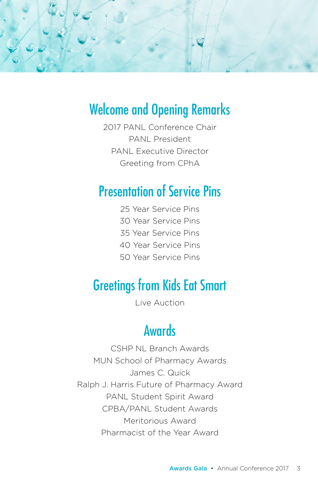

### Welcome and Opening Remarks

2017 PANL Conference Chair PANL President PANL Executive Director Greeting from CPhA

### Presentation of Service Pins

25 Year Service Pins 30 Year Service Pins 35 Year Service Pins 40 Year Service Pins 50 Year Service Pins

### Greetings from Kids Eat Smart

Live Auction

### **Awards**

CSHP NL Branch Awards MUN School of Pharmacy Awards James C. Quick Ralph J. Harris Future of Pharmacy Award PANL Student Spirit Award CPBA/PANL Student Awards Meritorious Award Pharmacist of the Year Award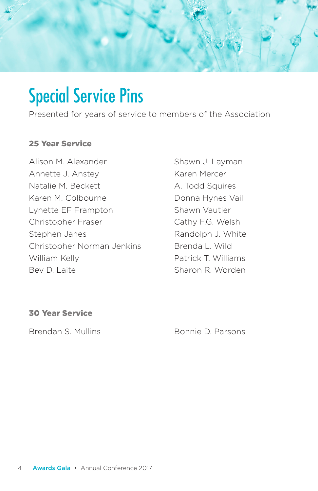

## Special Service Pins

Presented for years of service to members of the Association

#### 25 Year Service

Alison M. Alexander Annette J. Anstey Natalie M. Beckett Karen M. Colbourne Lynette EF Frampton Christopher Fraser Stephen Janes Christopher Norman Jenkins William Kelly Bev D. Laite

Shawn J. Layman Karen Mercer A. Todd Squires Donna Hynes Vail Shawn Vautier Cathy F.G. Welsh Randolph J. White Brenda L. Wild Patrick T. Williams Sharon R. Worden

#### 30 Year Service

Brendan S. Mullins Bonnie D. Parsons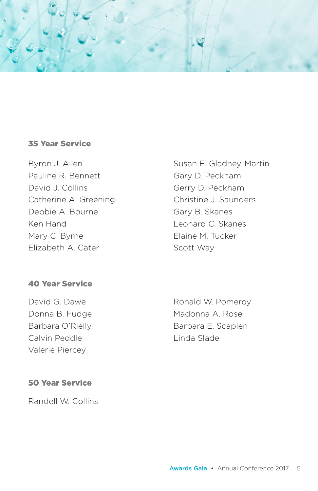

#### 35 Year Service

Byron J. Allen Pauline R. Bennett David J. Collins Catherine A. Greening Debbie A. Bourne Ken Hand Mary C. Byrne Elizabeth A. Cater

40 Year Service

David G. Dawe Donna B. Fudge Barbara O'Rielly Calvin Peddle Valerie Piercey

Susan E. Gladney-Martin Gary D. Peckham Gerry D. Peckham Christine J. Saunders Gary B. Skanes Leonard C. Skanes Elaine M. Tucker Scott Way

Ronald W. Pomeroy Madonna A. Rose Barbara E. Scaplen Linda Slade

#### 50 Year Service

Randell W. Collins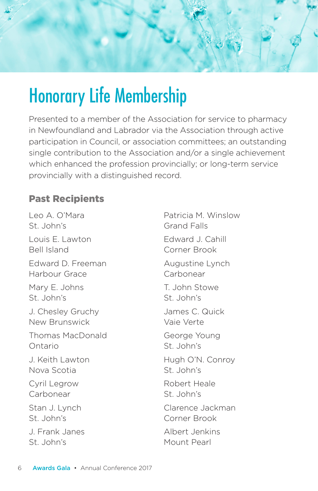

## Honorary Life Membership

Presented to a member of the Association for service to pharmacy in Newfoundland and Labrador via the Association through active participation in Council, or association committees; an outstanding single contribution to the Association and/or a single achievement which enhanced the profession provincially; or long-term service provincially with a distinguished record.

#### Past Recipients

Leo A. O'Mara St. John's Louis E. Lawton Bell Island Edward D. Freeman Harbour Grace Mary E. Johns St. John's J. Chesley Gruchy New Brunswick Thomas MacDonald Ontario J. Keith Lawton Nova Scotia Cyril Legrow Carbonear Stan J. Lynch St. John's J. Frank Janes St. John's

Patricia M. Winslow Grand Falls Edward J. Cahill Corner Brook Augustine Lynch **Carbonear** T. John Stowe St. John's James C. Quick Vaie Verte George Young St. John's Hugh O'N. Conroy St. John's Robert Heale St. John's Clarence Jackman Corner Brook Albert Jenkins Mount Pearl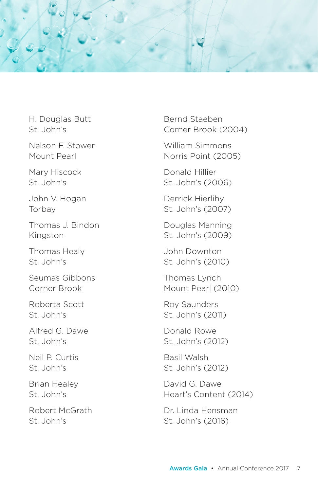

H. Douglas Butt St. John's

Nelson F. Stower Mount Pearl

Mary Hiscock St. John's

John V. Hogan Torbay

Thomas J. Bindon Kingston

Thomas Healy St. John's

Seumas Gibbons Corner Brook

Roberta Scott St. John's

Alfred G. Dawe St. John's

Neil P. Curtis St. John's

Brian Healey St. John's

Robert McGrath St. John's

Bernd Staeben Corner Brook (2004)

William Simmons Norris Point (2005)

Donald Hillier St. John's (2006)

Derrick Hierlihy St. John's (2007)

Douglas Manning St. John's (2009)

John Downton St. John's (2010)

Thomas Lynch Mount Pearl (2010)

Roy Saunders St. John's (2011)

Donald Rowe St. John's (2012)

Basil Walsh St. John's (2012)

David G. Dawe Heart's Content (2014)

Dr. Linda Hensman St. John's (2016)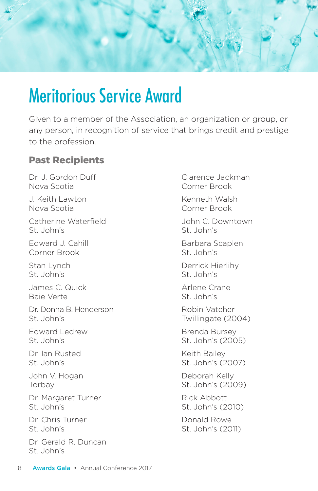

### Meritorious Service Award

Given to a member of the Association, an organization or group, or any person, in recognition of service that brings credit and prestige to the profession.

#### Past Recipients

Dr. J. Gordon Duff Nova Scotia J. Keith Lawton

Nova Scotia

Catherine Waterfield St. John's

Edward J. Cahill Corner Brook

Stan Lynch St. John's

James C. Quick Baie Verte

Dr. Donna B. Henderson St. John's

Edward Ledrew St. John's

Dr. Ian Rusted St. John's

John V. Hogan **Torbay** 

Dr. Margaret Turner St. John's

Dr. Chris Turner St. John's

Dr. Gerald R. Duncan St. John's

Clarence Jackman Corner Brook

Kenneth Walsh Corner Brook

John C. Downtown St. John's

Barbara Scaplen St. John's

Derrick Hierlihy St. John's

Arlene Crane St. John's

Robin Vatcher Twillingate (2004)

Brenda Bursey St. John's (2005)

Keith Bailey St. John's (2007)

Deborah Kelly St. John's (2009)

Rick Abbott St. John's (2010)

Donald Rowe St. John's (2011)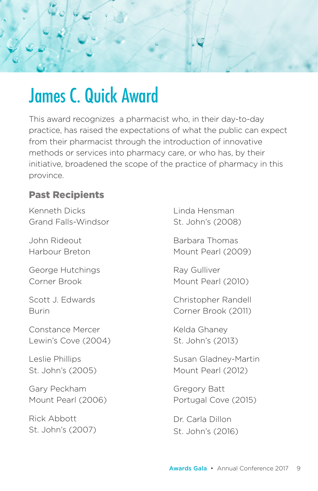

### James C. Quick Award

This award recognizes a pharmacist who, in their day-to-day practice, has raised the expectations of what the public can expect from their pharmacist through the introduction of innovative methods or services into pharmacy care, or who has, by their initiative, broadened the scope of the practice of pharmacy in this province.

#### Past Recipients

Kenneth Dicks Grand Falls-Windsor

John Rideout Harbour Breton

George Hutchings Corner Brook

Scott J. Edwards Burin

Constance Mercer Lewin's Cove (2004)

Leslie Phillips St. John's (2005)

Gary Peckham Mount Pearl (2006)

Rick Abbott St. John's (2007) Linda Hensman St. John's (2008)

Barbara Thomas Mount Pearl (2009)

Ray Gulliver Mount Pearl (2010)

Christopher Randell Corner Brook (2011)

Kelda Ghaney St. John's (2013)

Susan Gladney-Martin Mount Pearl (2012)

Gregory Batt Portugal Cove (2015)

Dr. Carla Dillon St. John's (2016)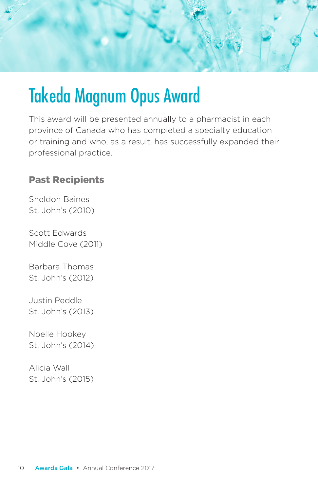

## Takeda Magnum Opus Award

This award will be presented annually to a pharmacist in each province of Canada who has completed a specialty education or training and who, as a result, has successfully expanded their professional practice.

#### Past Recipients

Sheldon Baines St. John's (2010)

Scott Edwards Middle Cove (2011)

Barbara Thomas St. John's (2012)

Justin Peddle St. John's (2013)

Noelle Hookey St. John's (2014)

Alicia Wall St. John's (2015)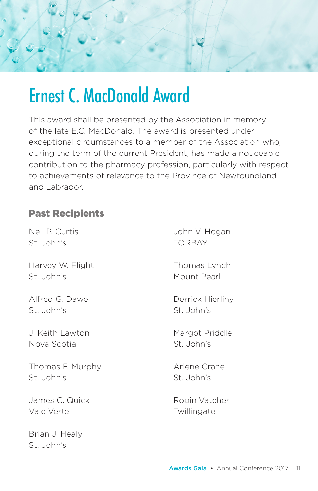

### Ernest C. MacDonald Award

This award shall be presented by the Association in memory of the late E.C. MacDonald. The award is presented under exceptional circumstances to a member of the Association who, during the term of the current President, has made a noticeable contribution to the pharmacy profession, particularly with respect to achievements of relevance to the Province of Newfoundland and Labrador.

#### Past Recipients

Neil P. Curtis St. John's

Harvey W. Flight St. John's

Alfred G. Dawe St. John's

J. Keith Lawton Nova Scotia

Thomas F. Murphy St. John's

James C. Quick Vaie Verte

Brian J. Healy St. John's

John V. Hogan TORBAY

Thomas Lynch Mount Pearl

Derrick Hierlihy St. John's

Margot Priddle St. John's

Arlene Crane St. John's

Robin Vatcher **Twillingate**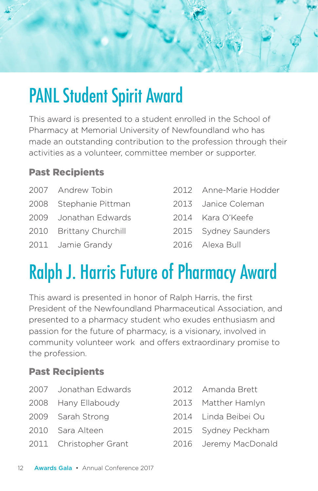

## PANL Student Spirit Award

This award is presented to a student enrolled in the School of Pharmacy at Memorial University of Newfoundland who has made an outstanding contribution to the profession through their activities as a volunteer, committee member or supporter.

#### Past Recipients

- 2007 Andrew Tobin 2008 Stephanie Pittman 2009 Jonathan Edwards 2010 Brittany Churchill 2011 Jamie Grandy
- 2012 Anne-Marie Hodder
- 2013 Janice Coleman
- 2014 Kara O'Keefe
- 2015 Sydney Saunders
- 2016 Alexa Bull

## Ralph J. Harris Future of Pharmacy Award

This award is presented in honor of Ralph Harris, the first President of the Newfoundland Pharmaceutical Association, and presented to a pharmacy student who exudes enthusiasm and passion for the future of pharmacy, is a visionary, involved in community volunteer work and offers extraordinary promise to the profession.

### Past Recipients

- 2007 Jonathan Edwards
- 2008 Hany Ellaboudy
- 2009 Sarah Strong
- 2010 Sara Alteen
- 2011 Christopher Grant
- 2012 Amanda Brett
- 2013 Matther Hamlyn
- 2014 Linda Beibei Ou
- 2015 Sydney Peckham
- 2016 Jeremy MacDonald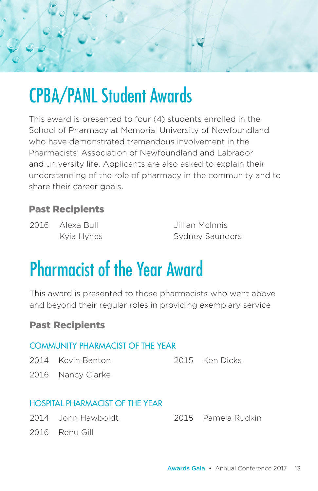

## CPBA/PANL Student Awards

This award is presented to four (4) students enrolled in the School of Pharmacy at Memorial University of Newfoundland who have demonstrated tremendous involvement in the Pharmacists' Association of Newfoundland and Labrador and university life. Applicants are also asked to explain their understanding of the role of pharmacy in the community and to share their career goals.

### Past Recipients

2016 Alexa Bull Kyia Hynes Jillian McInnis Sydney Saunders

## Pharmacist of the Year Award

This award is presented to those pharmacists who went above and beyond their regular roles in providing exemplary service

#### Past Recipients

| <b>COMMUNITY PHARMACIST OF THE YEAR</b> |                     |  |                |  |  |  |
|-----------------------------------------|---------------------|--|----------------|--|--|--|
|                                         | 2014 - Kevin Banton |  | 2015 Ken Dicks |  |  |  |
|                                         | 2016 Nancy Clarke   |  |                |  |  |  |
|                                         |                     |  |                |  |  |  |

#### HOSPITAL PHARMACIST OF THE YEAR

- 
- 2014 John Hawboldt 2015 Pamela Rudkin
- 2016 Renu Gill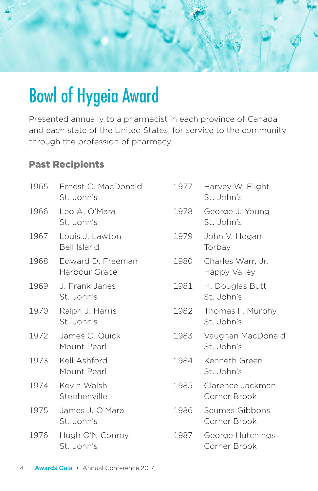

## Bowl of Hygeia Award

Presented annually to a pharmacist in each province of Canada and each state of the United States, for service to the community through the profession of pharmacy.

### Past Recipients

| 1965 | Ernest C. MacDonald<br>St. John's     | 1977 | Harvey W. Flight<br>St. John's    |
|------|---------------------------------------|------|-----------------------------------|
| 1966 | Leo A. O'Mara<br>St. John's           | 1978 | George J. Young<br>St. John's     |
| 1967 | Louis J. Lawton<br><b>Bell Island</b> | 1979 | John V. Hogan<br>Torbay           |
| 1968 | Edward D. Freeman<br>Harbour Grace    | 1980 | Charles Warr, Jr.<br>Happy Valley |
| 1969 | J. Frank Janes<br>St. John's          | 1981 | H. Douglas Butt<br>St. John's     |
| 1970 | Ralph J. Harris<br>St. John's         | 1982 | Thomas F. Murphy<br>St. John's    |
| 1972 | James C. Quick<br>Mount Pearl         | 1983 | Vaughan MacDonald<br>St. John's   |
| 1973 | Kell Ashford<br>Mount Pearl           | 1984 | Kenneth Green<br>St. John's       |
| 1974 | Kevin Walsh<br>Stephenville           | 1985 | Clarence Jackman<br>Corner Brook  |
| 1975 | James J. O'Mara<br>St. John's         | 1986 | Seumas Gibbons<br>Corner Brook    |
| 1976 | Hugh O'N Conroy<br>St. John's         | 1987 | George Hutchings<br>Corner Brook  |
|      |                                       |      |                                   |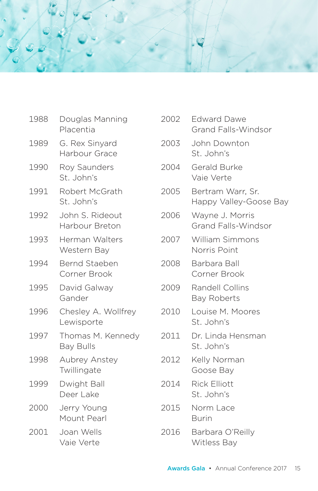

| 1988 | Douglas Manning<br>Placentia          | 2002 | <b>Edward Dawe</b><br>Grand Falls-Windsor     |
|------|---------------------------------------|------|-----------------------------------------------|
| 1989 | G. Rex Sinyard<br>Harbour Grace       | 2003 | John Downton<br>St. John's                    |
| 1990 | Roy Saunders<br>St. John's            | 2004 | Gerald Burke<br>Vaie Verte                    |
| 1991 | Robert McGrath<br>St. John's          | 2005 | Bertram Warr, Sr.<br>Happy Valley-Goose Bay   |
| 1992 | John S. Rideout<br>Harbour Breton     | 2006 | Wayne J. Morris<br><b>Grand Falls-Windsor</b> |
| 1993 | Herman Walters<br>Western Bay         | 2007 | <b>William Simmons</b><br>Norris Point        |
| 1994 | Bernd Staeben<br>Corner Brook         | 2008 | Barbara Ball<br>Corner Brook                  |
| 1995 | David Galway<br>Gander                | 2009 | Randell Collins<br><b>Bay Roberts</b>         |
| 1996 | Chesley A. Wollfrey<br>Lewisporte     | 2010 | Louise M. Moores<br>St. John's                |
| 1997 | Thomas M. Kennedy<br><b>Bay Bulls</b> | 2011 | Dr. Linda Hensman<br>St. John's               |
| 1998 | Aubrey Anstey<br>Twillingate          | 2012 | Kelly Norman<br>Goose Bay                     |
| 1999 | Dwight Ball<br>Deer Lake              | 2014 | <b>Rick Elliott</b><br>St. John's             |
| 2000 | Jerry Young<br>Mount Pearl            | 2015 | Norm Lace<br><b>Burin</b>                     |
| 2001 | Joan Wells<br>Vaie Verte              | 2016 | Barbara O'Reilly<br><b>Witless Bay</b>        |